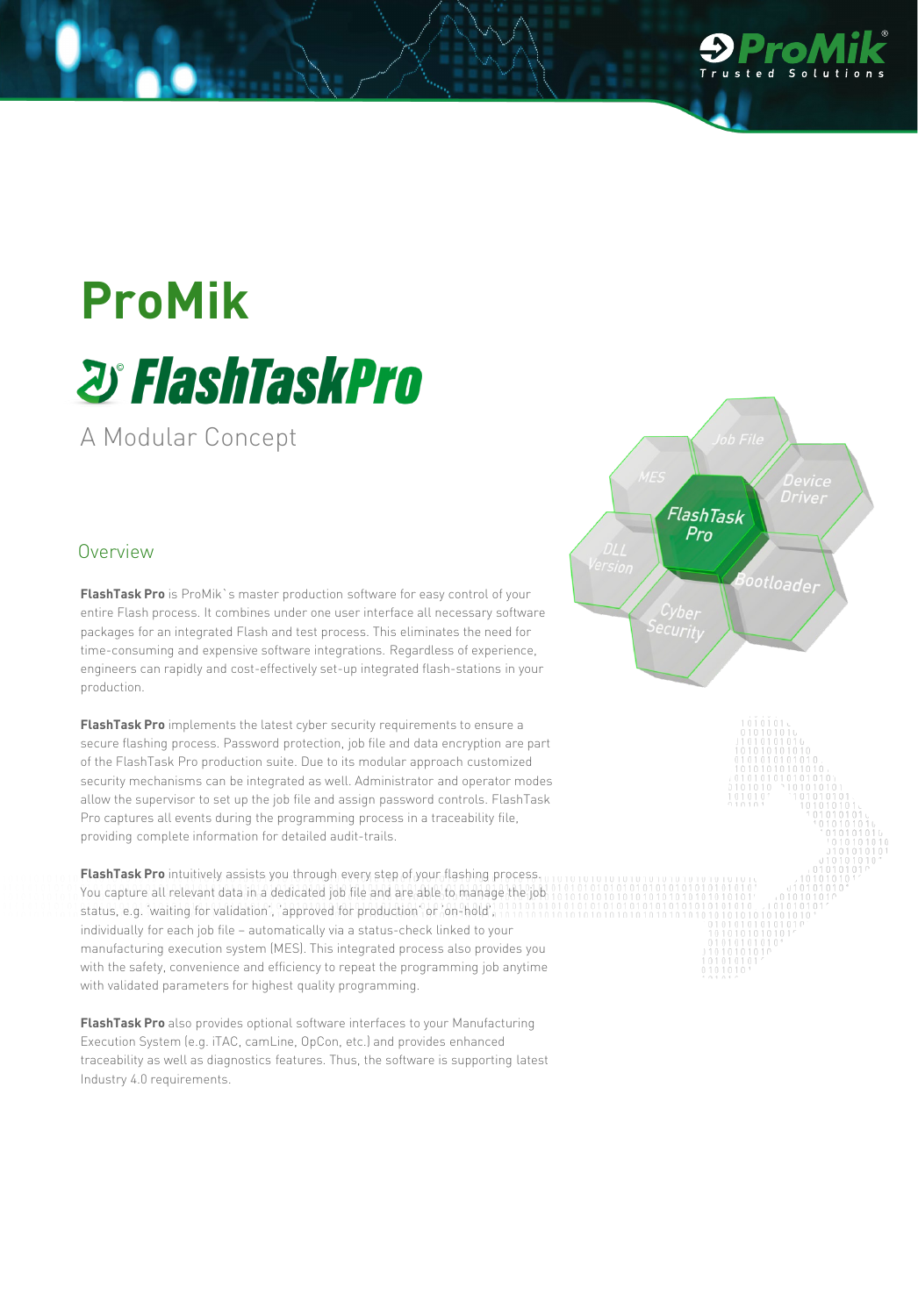

# **ProMik** *D' FlashTaskPro*

A Modular Concept

#### Overview

**FlashTask Pro** is ProMik`s master production software for easy control of your entire Flash process. It combines under one user interface all necessary software packages for an integrated Flash and test process. This eliminates the need for time-consuming and expensive software integrations. Regardless of experience, engineers can rapidly and cost-effectively set-up integrated flash-stations in your production.

**FlashTask Pro** implements the latest cyber security requirements to ensure a secure flashing process. Password protection, job file and data encryption are part of the FlashTask Pro production suite. Due to its modular approach customized security mechanisms can be integrated as well. Administrator and operator modes allow the supervisor to set up the job file and assign password controls. FlashTask Pro captures all events during the programming process in a traceability file, providing complete information for detailed audit-trails.

**FlashTask Pro** intuitively assists you through every step of your flashing process. You capture all relevant data in a dedicated job file and are able to manage the job status, e.g. 'waiting for validation', 'approved for production' or 'on-hold', individually for each job file – automatically via a status-check linked to your manufacturing execution system (MES). This integrated process also provides you with the safety, convenience and efficiency to repeat the programming job anytime with validated parameters for highest quality programming.

**FlashTask Pro** also provides optional software interfaces to your Manufacturing Execution System (e.g. iTAC, camLine, OpCon, etc.) and provides enhanced traceability as well as diagnostics features. Thus, the software is supporting latest Industry 4.0 requirements.